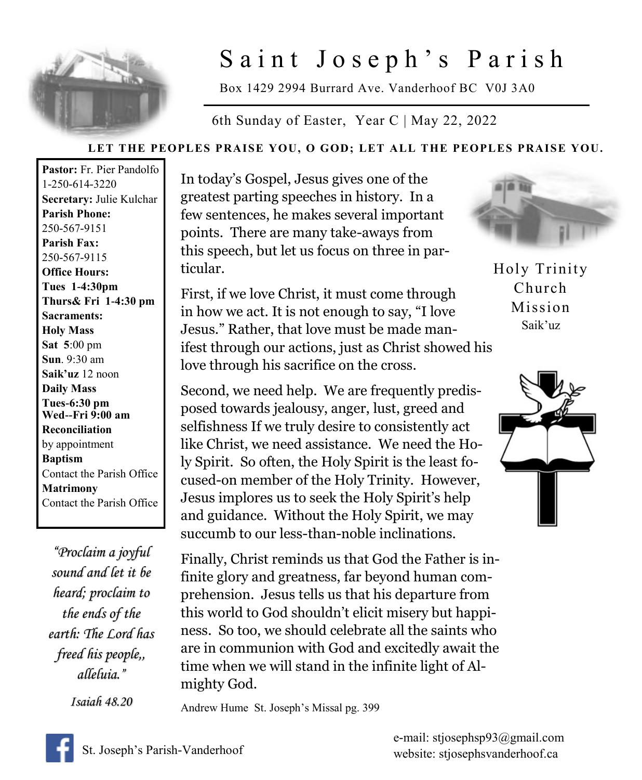

## Saint Joseph's Parish

Box 1429 2994 Burrard Ave. Vanderhoof BC V0J 3A0

6th Sunday of Easter, Year C | May 22, 2022

## **LET THE PEOPLES PRAISE YOU, O GOD; LET ALL THE PEOPLES PRAISE YOU.**

**Pastor:** Fr. Pier Pandolfo 1-250-614-3220 **Secretary:** Julie Kulchar **Parish Phone:** 250-567-9151 **Parish Fax:** 250-567-9115 **Office Hours: Tues 1-4:30pm Thurs& Fri 1-4:30 pm Sacraments: Holy Mass Sat 5**:00 pm **Sun**. 9:30 am **Saik'uz** 12 noon **Daily Mass Tues-6:30 pm Wed--Fri 9:00 am Reconciliation** by appointment **Baptism** Contact the Parish Office **Matrimony** Contact the Parish Office

*"Proclaim a joyful sound and let it be heard; proclaim to the ends of the earth: The Lord has freed his people,, alleluia."* 

*Isaiah 48.20* 

In today's Gospel, Jesus gives one of the greatest parting speeches in history. In a few sentences, he makes several important points. There are many take-aways from this speech, but let us focus on three in particular.

First, if we love Christ, it must come through in how we act. It is not enough to say, "I love Jesus." Rather, that love must be made manifest through our actions, just as Christ showed his love through his sacrifice on the cross.

Second, we need help. We are frequently predisposed towards jealousy, anger, lust, greed and selfishness If we truly desire to consistently act like Christ, we need assistance. We need the Holy Spirit. So often, the Holy Spirit is the least focused-on member of the Holy Trinity. However, Jesus implores us to seek the Holy Spirit's help and guidance. Without the Holy Spirit, we may succumb to our less-than-noble inclinations.

Finally, Christ reminds us that God the Father is infinite glory and greatness, far beyond human comprehension. Jesus tells us that his departure from this world to God shouldn't elicit misery but happiness. So too, we should celebrate all the saints who are in communion with God and excitedly await the time when we will stand in the infinite light of Almighty God.

Andrew Hume St. Joseph's Missal pg. 399



Holy Trinity Church Mission Saik'uz





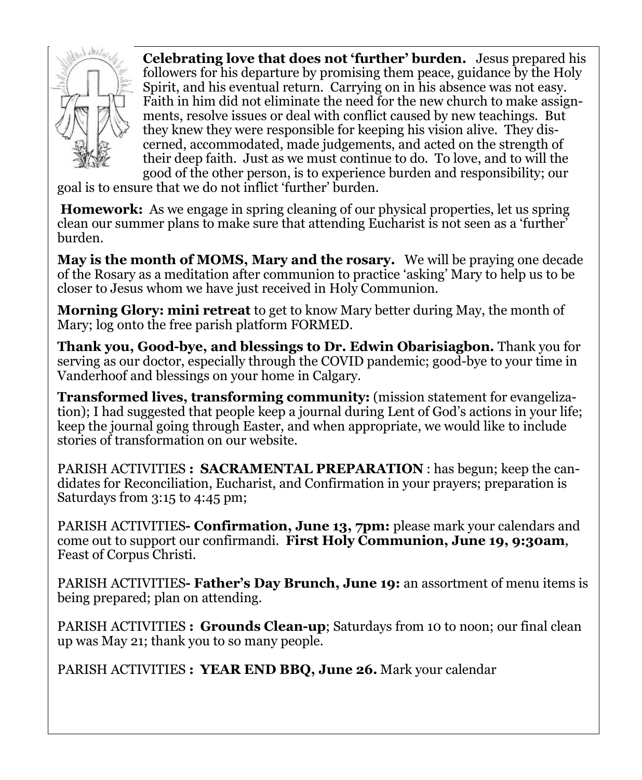

**Celebrating love that does not 'further' burden.** Jesus prepared his followers for his departure by promising them peace, guidance by the Holy Spirit, and his eventual return. Carrying on in his absence was not easy. Faith in him did not eliminate the need for the new church to make assignments, resolve issues or deal with conflict caused by new teachings. But they knew they were responsible for keeping his vision alive. They discerned, accommodated, made judgements, and acted on the strength of their deep faith. Just as we must continue to do. To love, and to will the good of the other person, is to experience burden and responsibility; our

goal is to ensure that we do not inflict 'further' burden.

**Homework:** As we engage in spring cleaning of our physical properties, let us spring clean our summer plans to make sure that attending Eucharist is not seen as a 'further' burden.

**May is the month of MOMS, Mary and the rosary.** We will be praying one decade of the Rosary as a meditation after communion to practice 'asking' Mary to help us to be closer to Jesus whom we have just received in Holy Communion.

**Morning Glory: mini retreat** to get to know Mary better during May, the month of Mary; log onto the free parish platform FORMED.

**Thank you, Good-bye, and blessings to Dr. Edwin Obarisiagbon.** Thank you for serving as our doctor, especially through the COVID pandemic; good-bye to your time in Vanderhoof and blessings on your home in Calgary.

**Transformed lives, transforming community:** (mission statement for evangelization); I had suggested that people keep a journal during Lent of God's actions in your life; keep the journal going through Easter, and when appropriate, we would like to include stories of transformation on our website.

PARISH ACTIVITIES **: SACRAMENTAL PREPARATION** : has begun; keep the candidates for Reconciliation, Eucharist, and Confirmation in your prayers; preparation is Saturdays from 3:15 to 4:45 pm;

PARISH ACTIVITIES**- Confirmation, June 13, 7pm:** please mark your calendars and come out to support our confirmandi. **First Holy Communion, June 19, 9:30am**, Feast of Corpus Christi.

PARISH ACTIVITIES**- Father's Day Brunch, June 19:** an assortment of menu items is being prepared; plan on attending.

PARISH ACTIVITIES **: Grounds Clean-up**; Saturdays from 10 to noon; our final clean up was May 21; thank you to so many people.

PARISH ACTIVITIES **: YEAR END BBQ, June 26.** Mark your calendar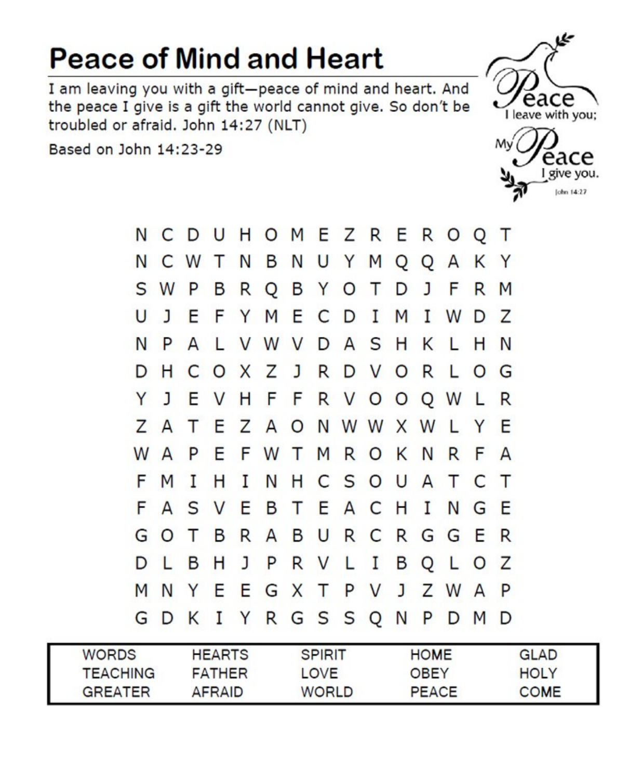## **Peace of Mind and Heart**

I am leaving you with a gift-peace of mind and heart. And the peace I give is a gift the world cannot give. So don't be troubled or afraid. John 14:27 (NLT)

Based on John 14:23-29



Mv eace I give you. John 14:27



| <b>WORDS</b>    | <b>HEARTS</b> | <b>SPIRIT</b> | <b>HOME</b>  | <b>GLAD</b> |
|-----------------|---------------|---------------|--------------|-------------|
| <b>TEACHING</b> | <b>FATHER</b> | LOVE          | OBEY         | <b>HOLY</b> |
| <b>GREATER</b>  | AFRAID        | <b>WORLD</b>  | <b>PEACE</b> | <b>COME</b> |